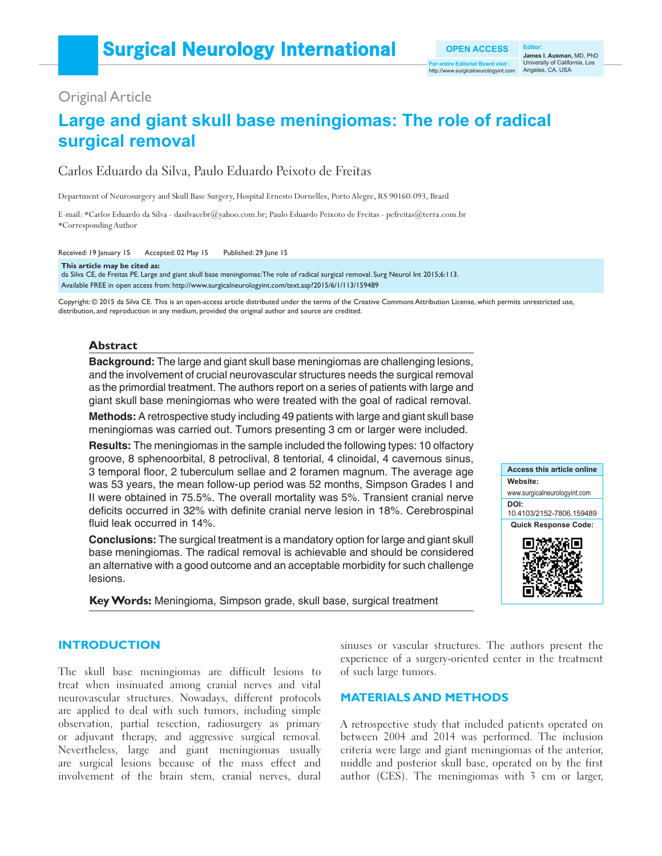**For entire Editorial Board visit : CONTRET UNIVERSITY OF CALITE**<br>http://www.surgicalneurologyint.com Angeles, CA, USA **OPEN ACCESS**

**James I. Ausman,** MD, PhD University of California, Los

# Original Article

# **Large and giant skull base meningiomas: The role of radical surgical removal**

# Carlos Eduardo da Silva, Paulo Eduardo Peixoto de Freitas

Department of Neurosurgery and Skull Base Surgery, Hospital Ernesto Dornelles, Porto Alegre, RS 90160-093, Brazil

E-mail: \*Carlos Eduardo da Silva - dasilvacebr@yahoo.com.br; Paulo Eduardo Peixoto de Freitas - pefreitas@terra.com.br \*Corresponding Author

Received: 19 January 15 Accepted: 02 May 15 Published: 29 June 15

**This article may be cited as:** da Silva CE, de Freitas PE. Large and giant skull base meningiomas: The role of radical surgical removal. Surg Neurol Int 2015;6:113. Available FREE in open access from: http://www.surgicalneurologyint.com/text.asp?2015/6/1/113/159489

Copyright: © 2015 da Silva CE. This is an open-access article distributed under the terms of the Creative Commons Attribution License, which permits unrestricted use, distribution, and reproduction in any medium, provided the original author and source are credited.

#### **Abstract**

**Background:** The large and giant skull base meningiomas are challenging lesions, and the involvement of crucial neurovascular structures needs the surgical removal as the primordial treatment. The authors report on a series of patients with large and giant skull base meningiomas who were treated with the goal of radical removal.

**Methods:** A retrospective study including 49 patients with large and giant skull base meningiomas was carried out. Tumors presenting 3 cm or larger were included.

**Results:** The meningiomas in the sample included the following types: 10 olfactory groove, 8 sphenoorbital, 8 petroclival, 8 tentorial, 4 clinoidal, 4 cavernous sinus, 3 temporal floor, 2 tuberculum sellae and 2 foramen magnum. The average age was 53 years, the mean follow‑up period was 52 months, Simpson Grades I and II were obtained in 75.5%. The overall mortality was 5%. Transient cranial nerve deficits occurred in 32% with definite cranial nerve lesion in 18%. Cerebrospinal fluid leak occurred in 14%.

**Conclusions:** The surgical treatment is a mandatory option for large and giant skull base meningiomas. The radical removal is achievable and should be considered an alternative with a good outcome and an acceptable morbidity for such challenge lesions.

**Key Words:** Meningioma, Simpson grade, skull base, surgical treatment



# **INTRODUCTION**

The skull base meningiomas are difficult lesions to treat when insinuated among cranial nerves and vital neurovascular structures. Nowadays, different protocols are applied to deal with such tumors, including simple observation, partial resection, radiosurgery as primary or adjuvant therapy, and aggressive surgical removal. Nevertheless, large and giant meningiomas usually are surgical lesions because of the mass effect and involvement of the brain stem, cranial nerves, dural

sinuses or vascular structures. The authors present the experience of a surgery‑oriented center in the treatment of such large tumors.

### **MATERIALS AND METHODS**

A retrospective study that included patients operated on between 2004 and 2014 was performed. The inclusion criteria were large and giant meningiomas of the anterior, middle and posterior skull base, operated on by the first author (CES). The meningiomas with 3 cm or larger,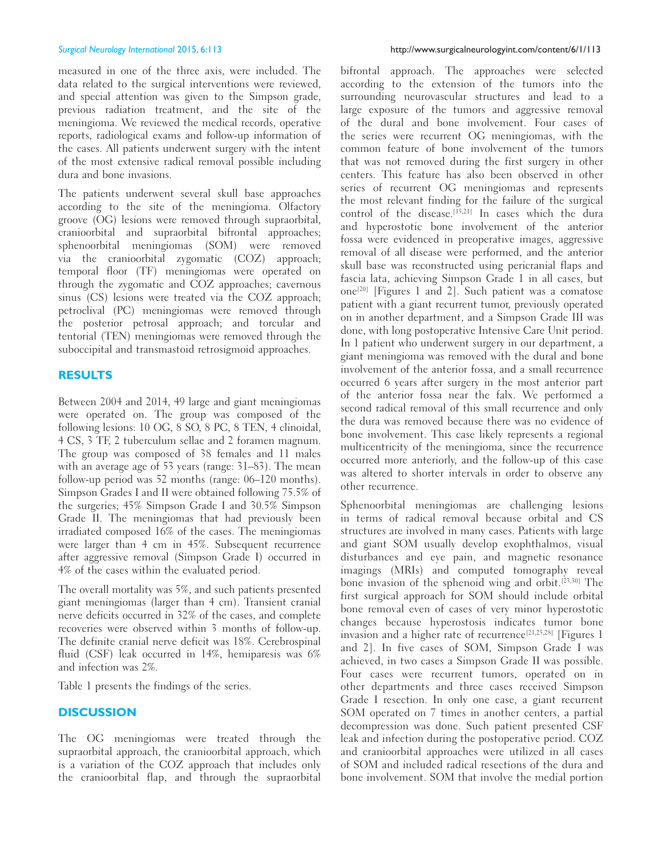measured in one of the three axis, were included. The data related to the surgical interventions were reviewed, and special attention was given to the Simpson grade, previous radiation treatment, and the site of the meningioma. We reviewed the medical records, operative reports, radiological exams and follow‑up information of the cases. All patients underwent surgery with the intent of the most extensive radical removal possible including dura and bone invasions.

The patients underwent several skull base approaches according to the site of the meningioma. Olfactory groove (OG) lesions were removed through supraorbital, cranioorbital and supraorbital bifrontal approaches; sphenoorbital meningiomas (SOM) were removed via the cranioorbital zygomatic (COZ) approach; temporal floor (TF) meningiomas were operated on through the zygomatic and COZ approaches; cavernous sinus (CS) lesions were treated via the COZ approach; petroclival (PC) meningiomas were removed through the posterior petrosal approach; and torcular and tentorial (TEN) meningiomas were removed through the suboccipital and transmastoid retrosigmoid approaches.

### **RESULTS**

Between 2004 and 2014, 49 large and giant meningiomas were operated on. The group was composed of the following lesions: 10 OG, 8 SO, 8 PC, 8 TEN, 4 clinoidal, 4 CS, 3 TF, 2 tuberculum sellae and 2 foramen magnum. The group was composed of 38 females and 11 males with an average age of 53 years (range: 31–83). The mean follow‑up period was 52 months (range: 06–120 months). Simpson Grades I and II were obtained following 75.5% of the surgeries; 45% Simpson Grade I and 30.5% Simpson Grade II. The meningiomas that had previously been irradiated composed 16% of the cases. The meningiomas were larger than 4 cm in 45%. Subsequent recurrence after aggressive removal (Simpson Grade I) occurred in 4% of the cases within the evaluated period.

The overall mortality was 5%, and such patients presented giant meningiomas (larger than 4 cm). Transient cranial nerve deficits occurred in 32% of the cases, and complete recoveries were observed within 3 months of follow‑up. The definite cranial nerve deficit was 18%. Cerebrospinal fluid (CSF) leak occurred in 14%, hemiparesis was 6% and infection was 2%.

Table 1 presents the findings of the series.

#### **DISCUSSION**

The OG meningiomas were treated through the supraorbital approach, the cranioorbital approach, which is a variation of the COZ approach that includes only the cranioorbital flap, and through the supraorbital bifrontal approach. The approaches were selected according to the extension of the tumors into the surrounding neurovascular structures and lead to a large exposure of the tumors and aggressive removal of the dural and bone involvement. Four cases of the series were recurrent OG meningiomas, with the common feature of bone involvement of the tumors that was not removed during the first surgery in other centers. This feature has also been observed in other series of recurrent OG meningiomas and represents the most relevant finding for the failure of the surgical control of the disease.<sup>[15,21]</sup> In cases which the dura and hyperostotic bone involvement of the anterior fossa were evidenced in preoperative images, aggressive removal of all disease were performed, and the anterior skull base was reconstructed using pericranial flaps and fascia lata, achieving Simpson Grade 1 in all cases, but one<sup>[20]</sup> [Figures 1 and 2]. Such patient was a comatose patient with a giant recurrent tumor, previously operated on in another department, and a Simpson Grade III was done, with long postoperative Intensive Care Unit period. In 1 patient who underwent surgery in our department, a giant meningioma was removed with the dural and bone involvement of the anterior fossa, and a small recurrence occurred 6 years after surgery in the most anterior part of the anterior fossa near the falx. We performed a second radical removal of this small recurrence and only the dura was removed because there was no evidence of bone involvement. This case likely represents a regional multicentricity of the meningioma, since the recurrence occurred more anteriorly, and the follow‑up of this case was altered to shorter intervals in order to observe any other recurrence.

Sphenoorbital meningiomas are challenging lesions in terms of radical removal because orbital and CS structures are involved in many cases. Patients with large and giant SOM usually develop exophthalmos, visual disturbances and eye pain, and magnetic resonance imagings (MRIs) and computed tomography reveal bone invasion of the sphenoid wing and orbit.[23,30] The first surgical approach for SOM should include orbital bone removal even of cases of very minor hyperostotic changes because hyperostosis indicates tumor bone invasion and a higher rate of recurrence<sup>[21,25,28]</sup> [Figures 1 and 2]. In five cases of SOM, Simpson Grade I was achieved, in two cases a Simpson Grade II was possible. Four cases were recurrent tumors, operated on in other departments and three cases received Simpson Grade I resection. In only one case, a giant recurrent SOM operated on 7 times in another centers, a partial decompression was done. Such patient presented CSF leak and infection during the postoperative period. COZ and cranioorbital approaches were utilized in all cases of SOM and included radical resections of the dura and bone involvement. SOM that involve the medial portion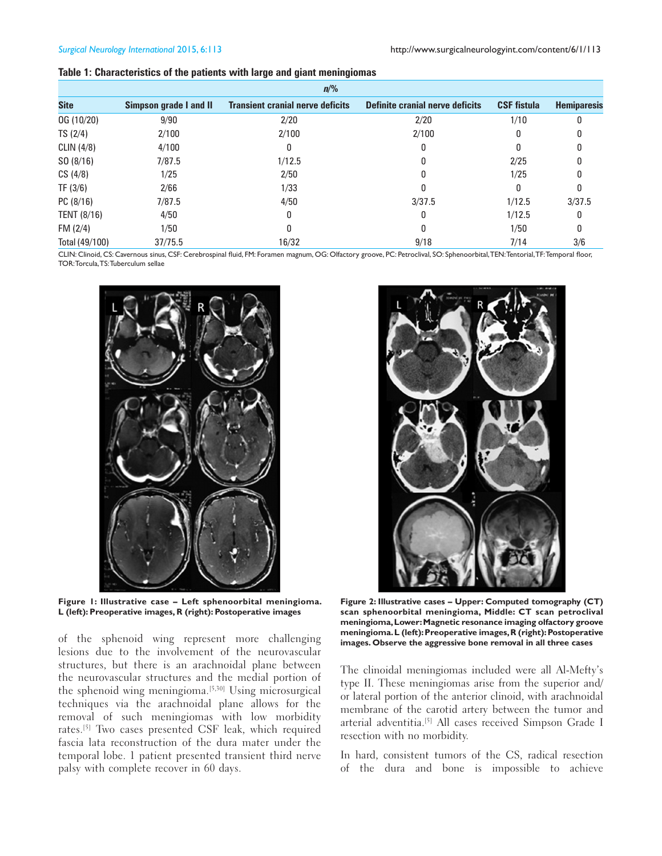#### **Table 1: Characteristics of the patients with large and giant meningiomas**

| $n\frac{9}{6}$ |                               |                                         |                                 |                    |                    |
|----------------|-------------------------------|-----------------------------------------|---------------------------------|--------------------|--------------------|
| <b>Site</b>    | <b>Simpson grade I and II</b> | <b>Transient cranial nerve deficits</b> | Definite cranial nerve deficits | <b>CSF fistula</b> | <b>Hemiparesis</b> |
| OG (10/20)     | 9/90                          | 2/20                                    | 2/20                            | 1/10               | 0                  |
| TS $(2/4)$     | 2/100                         | 2/100                                   | 2/100                           |                    |                    |
| CLIN (4/8)     | 4/100                         |                                         | 0                               |                    |                    |
| SO(8/16)       | 7/87.5                        | 1/12.5                                  | 0                               | 2/25               |                    |
| CS(4/8)        | 1/25                          | 2/50                                    |                                 | 1/25               |                    |
| TF (3/6)       | 2/66                          | 1/33                                    |                                 |                    | 0                  |
| PC(8/16)       | 7/87.5                        | 4/50                                    | 3/37.5                          | 1/12.5             | 3/37.5             |
| TENT (8/16)    | 4/50                          |                                         | 0                               | 1/12.5             | 0                  |
| FM (2/4)       | 1/50                          |                                         | 0                               | 1/50               |                    |
| Total (49/100) | 37/75.5                       | 16/32                                   | 9/18                            | 7/14               | 3/6                |

CLIN: Clinoid, CS: Cavernous sinus, CSF: Cerebrospinal fluid, FM: Foramen magnum, OG: Olfactory groove, PC: Petroclival, SO: Sphenoorbital, TEN: Tentorial, TF: Temporal floor, TOR: Torcula, TS: Tuberculum sellae



**Figure 1: Illustrative case – Left sphenoorbital meningioma. L (left): Preoperative images, R (right): Postoperative images**

of the sphenoid wing represent more challenging lesions due to the involvement of the neurovascular structures, but there is an arachnoidal plane between the neurovascular structures and the medial portion of the sphenoid wing meningioma.[5,30] Using microsurgical techniques via the arachnoidal plane allows for the removal of such meningiomas with low morbidity rates.[5] Two cases presented CSF leak, which required fascia lata reconstruction of the dura mater under the temporal lobe. 1 patient presented transient third nerve palsy with complete recover in 60 days.



**Figure 2: Illustrative cases – Upper: Computed tomography (CT) scan sphenoorbital meningioma, Middle: CT scan petroclival meningioma, Lower: Magnetic resonance imaging olfactory groove meningioma. L (left): Preoperative images, R (right): Postoperative images. Observe the aggressive bone removal in all three cases**

The clinoidal meningiomas included were all Al-Mefty's type II. These meningiomas arise from the superior and/ or lateral portion of the anterior clinoid, with arachnoidal membrane of the carotid artery between the tumor and arterial adventitia.<sup>[5]</sup> All cases received Simpson Grade I resection with no morbidity.

In hard, consistent tumors of the CS, radical resection of the dura and bone is impossible to achieve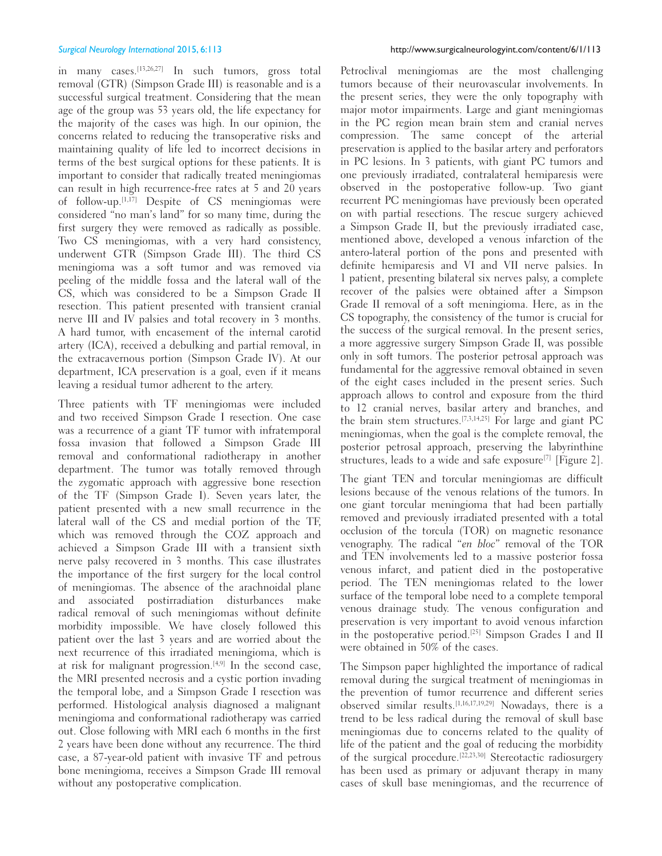in many cases.[13,26,27] In such tumors, gross total removal (GTR) (Simpson Grade III) is reasonable and is a successful surgical treatment. Considering that the mean age of the group was 53 years old, the life expectancy for the majority of the cases was high. In our opinion, the concerns related to reducing the transoperative risks and maintaining quality of life led to incorrect decisions in terms of the best surgical options for these patients. It is important to consider that radically treated meningiomas can result in high recurrence-free rates at 5 and 20 years of follow‑up.[1,17] Despite of CS meningiomas were considered "no man's land" for so many time, during the first surgery they were removed as radically as possible. Two CS meningiomas, with a very hard consistency, underwent GTR (Simpson Grade III). The third CS meningioma was a soft tumor and was removed via peeling of the middle fossa and the lateral wall of the CS, which was considered to be a Simpson Grade II resection. This patient presented with transient cranial nerve III and IV palsies and total recovery in 3 months. A hard tumor, with encasement of the internal carotid artery (ICA), received a debulking and partial removal, in the extracavernous portion (Simpson Grade IV). At our department, ICA preservation is a goal, even if it means leaving a residual tumor adherent to the artery.

Three patients with TF meningiomas were included and two received Simpson Grade I resection. One case was a recurrence of a giant TF tumor with infratemporal fossa invasion that followed a Simpson Grade III removal and conformational radiotherapy in another department. The tumor was totally removed through the zygomatic approach with aggressive bone resection of the TF (Simpson Grade I). Seven years later, the patient presented with a new small recurrence in the lateral wall of the CS and medial portion of the TF, which was removed through the COZ approach and achieved a Simpson Grade III with a transient sixth nerve palsy recovered in 3 months. This case illustrates the importance of the first surgery for the local control of meningiomas. The absence of the arachnoidal plane and associated postirradiation disturbances make radical removal of such meningiomas without definite morbidity impossible. We have closely followed this patient over the last 3 years and are worried about the next recurrence of this irradiated meningioma, which is at risk for malignant progression.<sup>[4,9]</sup> In the second case, the MRI presented necrosis and a cystic portion invading the temporal lobe, and a Simpson Grade I resection was performed. Histological analysis diagnosed a malignant meningioma and conformational radiotherapy was carried out. Close following with MRI each 6 months in the first 2 years have been done without any recurrence. The third case, a 87‑year‑old patient with invasive TF and petrous bone meningioma, receives a Simpson Grade III removal without any postoperative complication.

Petroclival meningiomas are the most challenging tumors because of their neurovascular involvements. In the present series, they were the only topography with major motor impairments. Large and giant meningiomas in the PC region mean brain stem and cranial nerves compression. The same concept of the arterial preservation is applied to the basilar artery and perforators in PC lesions. In 3 patients, with giant PC tumors and one previously irradiated, contralateral hemiparesis were observed in the postoperative follow‑up. Two giant recurrent PC meningiomas have previously been operated on with partial resections. The rescue surgery achieved a Simpson Grade II, but the previously irradiated case, mentioned above, developed a venous infarction of the antero-lateral portion of the pons and presented with definite hemiparesis and VI and VII nerve palsies. In 1 patient, presenting bilateral six nerves palsy, a complete recover of the palsies were obtained after a Simpson Grade II removal of a soft meningioma. Here, as in the CS topography, the consistency of the tumor is crucial for the success of the surgical removal. In the present series, a more aggressive surgery Simpson Grade II, was possible only in soft tumors. The posterior petrosal approach was fundamental for the aggressive removal obtained in seven of the eight cases included in the present series. Such approach allows to control and exposure from the third to 12 cranial nerves, basilar artery and branches, and the brain stem structures.[7,3,14,25] For large and giant PC meningiomas, when the goal is the complete removal, the posterior petrosal approach, preserving the labyrinthine structures, leads to a wide and safe exposure<sup>[7]</sup> [Figure 2].

The giant TEN and torcular meningiomas are difficult lesions because of the venous relations of the tumors. In one giant torcular meningioma that had been partially removed and previously irradiated presented with a total occlusion of the torcula (TOR) on magnetic resonance venography. The radical "en bloc" removal of the TOR and TEN involvements led to a massive posterior fossa venous infarct, and patient died in the postoperative period. The TEN meningiomas related to the lower surface of the temporal lobe need to a complete temporal venous drainage study. The venous configuration and preservation is very important to avoid venous infarction in the postoperative period.<sup>[25]</sup> Simpson Grades I and II were obtained in 50% of the cases.

The Simpson paper highlighted the importance of radical removal during the surgical treatment of meningiomas in the prevention of tumor recurrence and different series observed similar results.[1,16,17,19,29] Nowadays, there is a trend to be less radical during the removal of skull base meningiomas due to concerns related to the quality of life of the patient and the goal of reducing the morbidity of the surgical procedure.<sup>[22,23,30]</sup> Stereotactic radiosurgery has been used as primary or adjuvant therapy in many cases of skull base meningiomas, and the recurrence of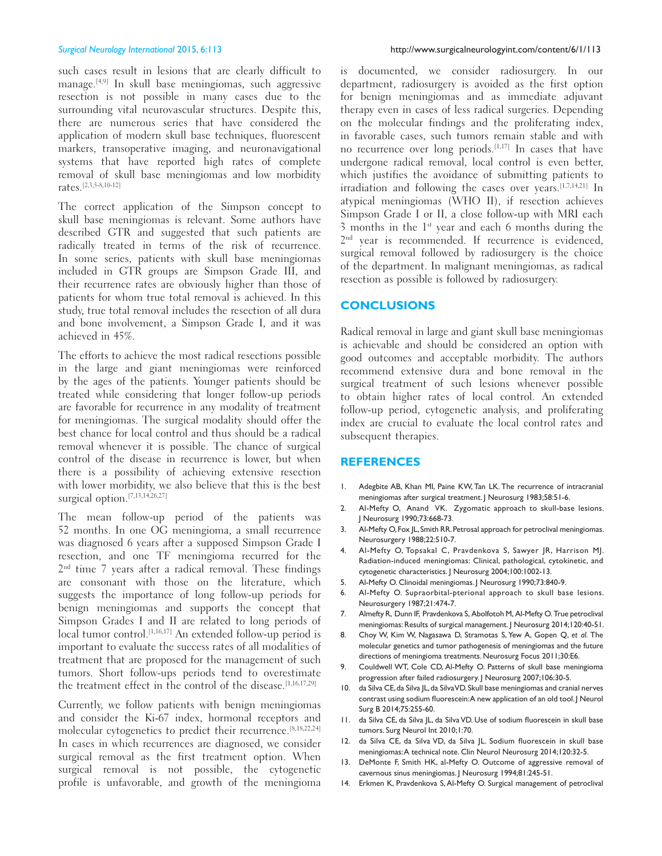such cases result in lesions that are clearly difficult to manage.[4,9] In skull base meningiomas, such aggressive resection is not possible in many cases due to the surrounding vital neurovascular structures. Despite this, there are numerous series that have considered the application of modern skull base techniques, fluorescent markers, transoperative imaging, and neuronavigational systems that have reported high rates of complete removal of skull base meningiomas and low morbidity rates.[2,3,5‑8,10‑12]

The correct application of the Simpson concept to skull base meningiomas is relevant. Some authors have described GTR and suggested that such patients are radically treated in terms of the risk of recurrence. In some series, patients with skull base meningiomas included in GTR groups are Simpson Grade III, and their recurrence rates are obviously higher than those of patients for whom true total removal is achieved. In this study, true total removal includes the resection of all dura and bone involvement, a Simpson Grade I, and it was achieved in 45%.

The efforts to achieve the most radical resections possible in the large and giant meningiomas were reinforced by the ages of the patients. Younger patients should be treated while considering that longer follow‑up periods are favorable for recurrence in any modality of treatment for meningiomas. The surgical modality should offer the best chance for local control and thus should be a radical removal whenever it is possible. The chance of surgical control of the disease in recurrence is lower, but when there is a possibility of achieving extensive resection with lower morbidity, we also believe that this is the best surgical option.<sup>[7,13,14,26,27]</sup>

The mean follow-up period of the patients was 52 months. In one OG meningioma, a small recurrence was diagnosed 6 years after a supposed Simpson Grade I resection, and one TF meningioma recurred for the  $2<sup>nd</sup>$  time 7 years after a radical removal. These findings are consonant with those on the literature, which suggests the importance of long follow‑up periods for benign meningiomas and supports the concept that Simpson Grades I and II are related to long periods of local tumor control.<sup>[1,16,17]</sup> An extended follow-up period is important to evaluate the success rates of all modalities of treatment that are proposed for the management of such tumors. Short follow‑ups periods tend to overestimate the treatment effect in the control of the disease.<sup>[1,16,17,29]</sup>

Currently, we follow patients with benign meningiomas and consider the Ki‑67 index, hormonal receptors and molecular cytogenetics to predict their recurrence.[8,18,22,24] In cases in which recurrences are diagnosed, we consider surgical removal as the first treatment option. When surgical removal is not possible, the cytogenetic profile is unfavorable, and growth of the meningioma

is documented, we consider radiosurgery. In our department, radiosurgery is avoided as the first option for benign meningiomas and as immediate adjuvant therapy even in cases of less radical surgeries. Depending on the molecular findings and the proliferating index, in favorable cases, such tumors remain stable and with no recurrence over long periods.[1,17] In cases that have undergone radical removal, local control is even better, which justifies the avoidance of submitting patients to irradiation and following the cases over years.[1,7,14,21] In atypical meningiomas (WHO II), if resection achieves Simpson Grade I or II, a close follow‑up with MRI each 3 months in the  $1<sup>st</sup>$  year and each 6 months during the 2<sup>nd</sup> year is recommended. If recurrence is evidenced, surgical removal followed by radiosurgery is the choice of the department. In malignant meningiomas, as radical resection as possible is followed by radiosurgery.

#### **CONCLUSIONS**

Radical removal in large and giant skull base meningiomas is achievable and should be considered an option with good outcomes and acceptable morbidity. The authors recommend extensive dura and bone removal in the surgical treatment of such lesions whenever possible to obtain higher rates of local control. An extended follow‑up period, cytogenetic analysis, and proliferating index are crucial to evaluate the local control rates and subsequent therapies.

#### **REFERENCES**

- 1. Adegbite AB, Khan MI, Paine KW, Tan LK. The recurrence of intracranial meningiomas after surgical treatment. J Neurosurg 1983;58:51‑6.
- 2. Al-Mefty O, Anand VK. Zygomatic approach to skull-base lesions. J Neurosurg 1990;73:668‑73.
- 3. Al-Mefty O, Fox JL, Smith RR. Petrosal approach for petroclival meningiomas. Neurosurgery 1988;22:510‑7.
- 4. Al-Mefty O, Topsakal C, Pravdenkova S, Sawyer JR, Harrison MJ. Radiation‑induced meningiomas: Clinical, pathological, cytokinetic, and cytogenetic characteristics. J Neurosurg 2004;100:1002‑13.
- 5. Al-Mefty O. Clinoidal meningiomas. J Neurosurg 1990;73:840-9.
- 6. Al-Mefty O. Supraorbital-pterional approach to skull base lesions. Neurosurgery 1987;21:474‑7.
- 7. Almefty R, Dunn IF, Pravdenkova S, Abolfotoh M, Al-Mefty O. True petroclival meningiomas: Results of surgical management. J Neurosurg 2014;120:40-51.
- 8. Choy W, Kim W, Nagasawa D, Stramotas S, Yew A, Gopen Q, *et al.* The molecular genetics and tumor pathogenesis of meningiomas and the future directions of meningioma treatments. Neurosurg Focus 2011;30:E6.
- 9. Couldwell WT, Cole CD, Al-Mefty O. Patterns of skull base meningioma progression after failed radiosurgery. J Neurosurg 2007;106:30-5.
- 10. da Silva CE, da Silva JL, da SilvaVD. Skull base meningiomas and cranial nerves contrast using sodium fluorescein: A new application of an old tool. J Neurol Surg B 2014;75:255‑60.
- 11. da Silva CE, da Silva JL, da Silva VD. Use of sodium fluorescein in skull base tumors. Surg Neurol Int 2010;1:70.
- 12. da Silva CE, da Silva VD, da Silva JL. Sodium fluorescein in skull base meningiomas: A technical note. Clin Neurol Neurosurg 2014;120:32-5.
- 13. DeMonte F, Smith HK, al-Mefty O. Outcome of aggressive removal of cavernous sinus meningiomas. J Neurosurg 1994;81:245-51.
- 14. Erkmen K, Pravdenkova S, Al-Mefty O. Surgical management of petroclival